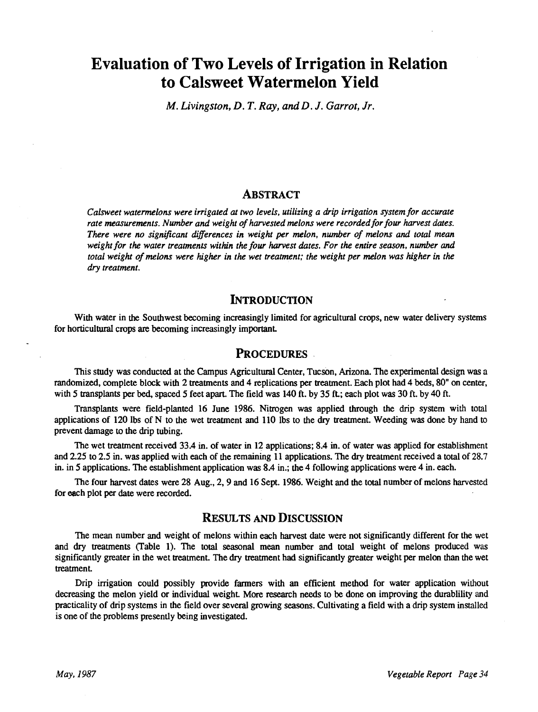# Evaluation of Two Levels of Irrigation in Relation to Calsweet Watermelon Yield

M. Livingston, D. T. Ray, and D. J. Garrot, Jr.

### ABSTRACT

Calsweet watermelons were irrigated at two levels, utilizing a drip irrigation system for accurate rate measurements. Number and weight of harvested melons were recorded for four harvest dates. There were no significant differences in weight per melon, number of melons and total mean weight for the water treatments within the four harvest dates. For the entire season, number and total weight of melons were higher in the wet treatment; the weight per melon was higher in the dry treatment.

### **INTRODUCTION**

With water in the Southwest becoming increasingly limited for agricultural crops, new water delivery systems for horticultural crops are becoming increasingly important.

#### PROCEDURES

This study was conducted at the Campus Agricultural Center, Tucson, Arizona. The experimental design was a randomized, complete block with 2 treatments and 4 replications per treatment. Each plot had 4 beds, 80" on center, with 5 transplants per bed, spaced 5 feet apart. The field was 140 ft. by 35 ft.; each plot was 30 ft. by 40 ft.

Transplants were field-planted 16 June 1986. Nitrogen was applied through the drip system with total applications of 120 lbs of N to the wet treatment and 110 lbs to the dry treatment. Weeding was done by hand to prevent damage to the drip tubing.

The wet treatment received 33.4 in. of water in 12 applications; 8.4 in. of water was applied for establishment and 2.25 to 2.5 in. was applied with each of the remaining 11 applications. The dry treatment received a total of 28.7 in. in 5 applications. The establishment application was 8.4 in.; the 4 following applications were 4 in. each.

The four harvest dates were 28 Aug., 2, 9 and 16 Sept. 1986. Weight and the total number of melons harvested for each plot per date were recorded.

## RESULTS AND DISCUSSION

The mean number and weight of melons within each harvest date were not significantly different for the wet and dry treatments (Table 1). The total seasonal mean number and total weight of melons produced was significantly greater in the wet treatment. The dry treatment had significantly greater weight per melon than the wet treatment.

Drip irrigation could possibly provide farmers with an efficient method for water application without decreasing the melon yield or individual weight. More research needs to be done on improving the durablility and practicality of drip systems in the field over several growing seasons. Cultivating a field with a drip system installed is one of the problems presently being investigated.